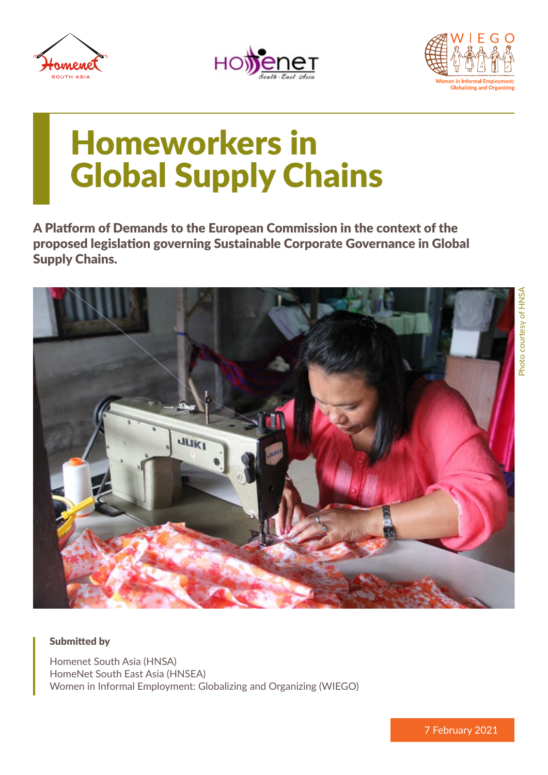





# Homeworkers in Global Supply Chains

A Platform of Demands to the European Commission in the context of the proposed legislation governing Sustainable Corporate Governance in Global Supply Chains.



#### Submitted by

Homenet South Asia (HNSA) HomeNet South East Asia (HNSEA) Women in Informal Employment: Globalizing and Organizing (WIEGO)

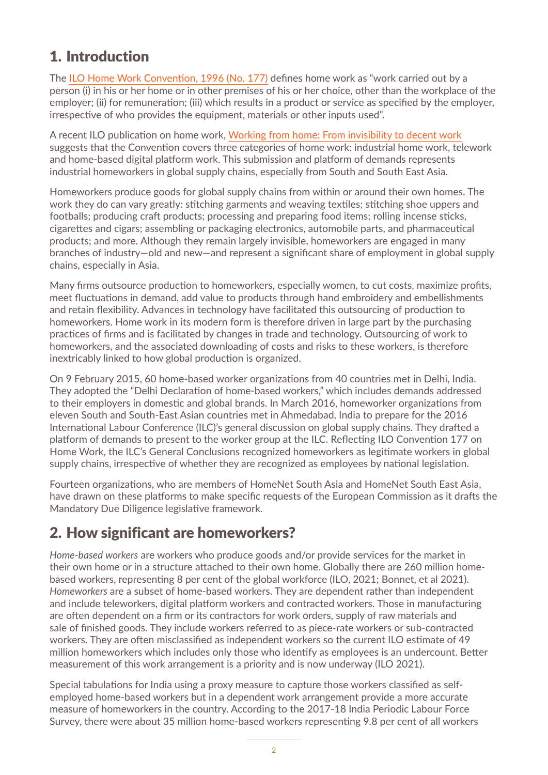## 1. Introduction

The [ILO Home Work Convention, 1996 \(No. 177\)](https://www.ilo.org/dyn/normlex/en/f?p=NORMLEXPUB:12100:0::NO::P12100_INSTRUMENT_ID:312322) defines home work as "work carried out by a person (i) in his or her home or in other premises of his or her choice, other than the workplace of the employer; (ii) for remuneration; (iii) which results in a product or service as specified by the employer, irrespective of who provides the equipment, materials or other inputs used".

A recent ILO publication on home work, [Working from home: From invisibility](https://www.ilo.org/wcmsp5/groups/public/---ed_protect/---protrav/---travail/documents/publication/wcms_765806.pdf) to decent work suggests that the Convention covers three categories of home work: industrial home work, telework and home-based digital platform work. This submission and platform of demands represents industrial homeworkers in global supply chains, especially from South and South East Asia.

Homeworkers produce goods for global supply chains from within or around their own homes. The work they do can vary greatly: stitching garments and weaving textiles; stitching shoe uppers and footballs; producing craft products; processing and preparing food items; rolling incense sticks, cigarettes and cigars; assembling or packaging electronics, automobile parts, and pharmaceutical products; and more. Although they remain largely invisible, homeworkers are engaged in many branches of industry—old and new—and represent a significant share of employment in global supply chains, especially in Asia.

Many firms outsource production to homeworkers, especially women, to cut costs, maximize profits, meet fluctuations in demand, add value to products through hand embroidery and embellishments and retain flexibility. Advances in technology have facilitated this outsourcing of production to homeworkers. Home work in its modern form is therefore driven in large part by the purchasing practices of firms and is facilitated by changes in trade and technology. Outsourcing of work to homeworkers, and the associated downloading of costs and risks to these workers, is therefore inextricably linked to how global production is organized.

On 9 February 2015, 60 home-based worker organizations from 40 countries met in Delhi, India. They adopted the "Delhi Declaration of home-based workers," which includes demands addressed to their employers in domestic and global brands. In March 2016, homeworker organizations from eleven South and South-East Asian countries met in Ahmedabad, India to prepare for the 2016 International Labour Conference (ILC)'s general discussion on global supply chains. They drafted a platform of demands to present to the worker group at the ILC. Reflecting ILO Convention 177 on Home Work, the ILC's General Conclusions recognized homeworkers as legitimate workers in global supply chains, irrespective of whether they are recognized as employees by national legislation.

Fourteen organizations, who are members of HomeNet South Asia and HomeNet South East Asia, have drawn on these platforms to make specific requests of the European Commission as it drafts the Mandatory Due Diligence legislative framework.

## 2. How significant are homeworkers?

*Home-based workers* are workers who produce goods and/or provide services for the market in their own home or in a structure attached to their own home. Globally there are 260 million homebased workers, representing 8 per cent of the global workforce (ILO, 2021; Bonnet, et al 2021). *Homeworkers* are a subset of home-based workers. They are dependent rather than independent and include teleworkers, digital platform workers and contracted workers. Those in manufacturing are often dependent on a firm or its contractors for work orders, supply of raw materials and sale of finished goods. They include workers referred to as piece-rate workers or sub-contracted workers. They are often misclassified as independent workers so the current ILO estimate of 49 million homeworkers which includes only those who identify as employees is an undercount. Better measurement of this work arrangement is a priority and is now underway (ILO 2021).

Special tabulations for India using a proxy measure to capture those workers classified as selfemployed home-based workers but in a dependent work arrangement provide a more accurate measure of homeworkers in the country. According to the 2017-18 India Periodic Labour Force Survey, there were about 35 million home-based workers representing 9.8 per cent of all workers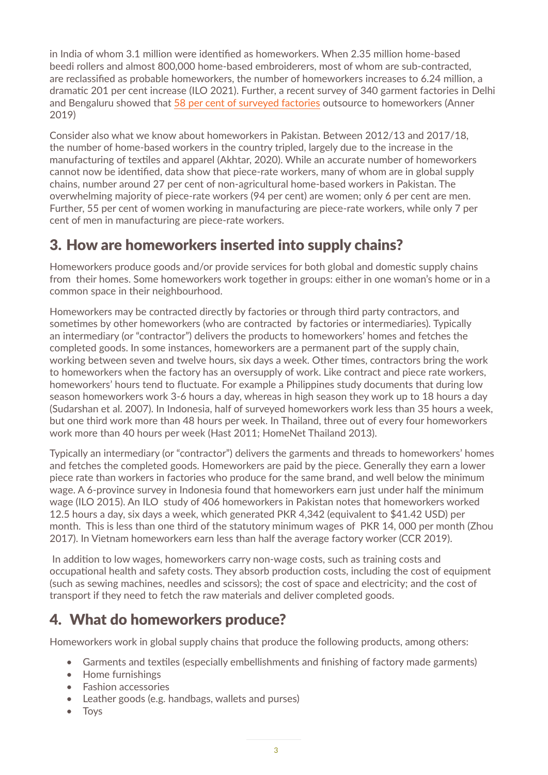in India of whom 3.1 million were identified as homeworkers. When 2.35 million home-based beedi rollers and almost 800,000 home-based embroiderers, most of whom are sub-contracted, are reclassified as probable homeworkers, the number of homeworkers increases to 6.24 million, a dramatic 201 per cent increase (ILO 2021). Further, a recent survey of 340 garment factories in Delhi and Bengaluru showed tha[t 58 per cent of surveyed factories](https://na01.safelinks.protection.outlook.com/?url=https%3A%2F%2Fonlinelibrary.wiley.com%2Fdoi%2F10.1111%2Filr.12149&data=04%7C01%7C%7C51f53667ca514267d2f508d8c7717d78%7C84df9e7fe9f640afb435aaaaaaaaaaaa%7C1%7C0%7C637478637530835365%7CUnknown%7CTWFpbGZsb3d8eyJWIjoiMC4wLjAwMDAiLCJQIjoiV2luMzIiLCJBTiI6Ik1haWwiLCJXVCI6Mn0%3D%7C1000&sdata=0QApyzDjXuQ8zf%2FxXL2Erm8YZLjgdhbQf57qvYvoeZk%3D&reserved=0) outsource to homeworkers (Anner 2019)

Consider also what we know about homeworkers in Pakistan. Between 2012/13 and 2017/18, the number of home-based workers in the country tripled, largely due to the increase in the manufacturing of textiles and apparel (Akhtar, 2020). While an accurate number of homeworkers cannot now be identified, data show that piece-rate workers, many of whom are in global supply chains, number around 27 per cent of non-agricultural home-based workers in Pakistan. The overwhelming majority of piece-rate workers (94 per cent) are women; only 6 per cent are men. Further, 55 per cent of women working in manufacturing are piece-rate workers, while only 7 per cent of men in manufacturing are piece-rate workers.

## 3. How are homeworkers inserted into supply chains?

Homeworkers produce goods and/or provide services for both global and domestic supply chains from their homes. Some homeworkers work together in groups: either in one woman's home or in a common space in their neighbourhood.

Homeworkers may be contracted directly by factories or through third party contractors, and sometimes by other homeworkers (who are contracted by factories or intermediaries). Typically an intermediary (or "contractor") delivers the products to homeworkers' homes and fetches the completed goods. In some instances, homeworkers are a permanent part of the supply chain, working between seven and twelve hours, six days a week. Other times, contractors bring the work to homeworkers when the factory has an oversupply of work. Like contract and piece rate workers, homeworkers' hours tend to fluctuate. For example a Philippines study documents that during low season homeworkers work 3-6 hours a day, whereas in high season they work up to 18 hours a day (Sudarshan et al. 2007). In Indonesia, half of surveyed homeworkers work less than 35 hours a week, but one third work more than 48 hours per week. In Thailand, three out of every four homeworkers work more than 40 hours per week (Hast 2011; HomeNet Thailand 2013).

Typically an intermediary (or "contractor") delivers the garments and threads to homeworkers' homes and fetches the completed goods. Homeworkers are paid by the piece. Generally they earn a lower piece rate than workers in factories who produce for the same brand, and well below the minimum wage. A 6-province survey in Indonesia found that homeworkers earn just under half the minimum wage (ILO 2015). An ILO study of 406 homeworkers in Pakistan notes that homeworkers worked 12.5 hours a day, six days a week, which generated PKR 4,342 (equivalent to \$41.42 USD) per month. This is less than one third of the statutory minimum wages of PKR 14, 000 per month (Zhou 2017). In Vietnam homeworkers earn less than half the average factory worker (CCR 2019).

 In addition to low wages, homeworkers carry non-wage costs, such as training costs and occupational health and safety costs. They absorb production costs, including the cost of equipment (such as sewing machines, needles and scissors); the cost of space and electricity; and the cost of transport if they need to fetch the raw materials and deliver completed goods.

## 4. What do homeworkers produce?

Homeworkers work in global supply chains that produce the following products, among others:

- Garments and textiles (especially embellishments and finishing of factory made garments)
- Home furnishings
- Fashion accessories
- Leather goods (e.g. handbags, wallets and purses)
- Toys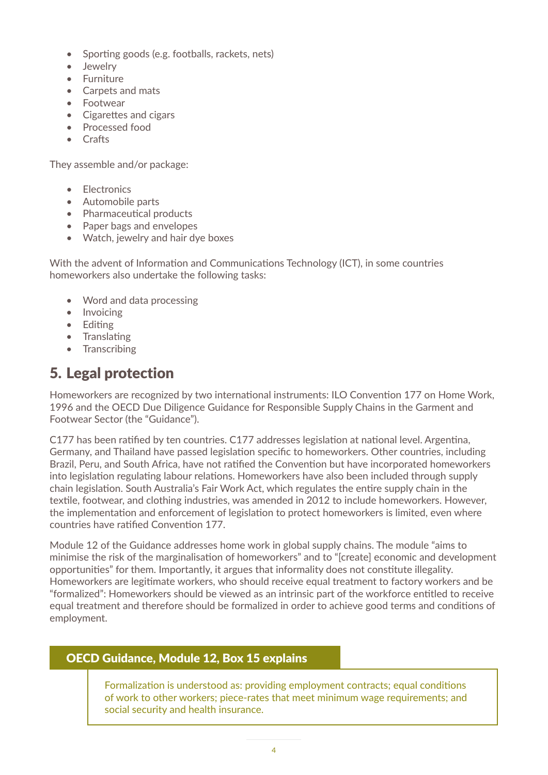- Sporting goods (e.g. footballs, rackets, nets)
- Jewelry
- Furniture
- Carpets and mats
- Footwear
- Cigarettes and cigars
- Processed food
- Crafts

They assemble and/or package:

- Electronics
- Automobile parts
- Pharmaceutical products
- Paper bags and envelopes
- Watch, jewelry and hair dye boxes

With the advent of Information and Communications Technology (ICT), in some countries homeworkers also undertake the following tasks:

- Word and data processing
- Invoicing
- Editing
- Translating
- Transcribing

## 5. Legal protection

Homeworkers are recognized by two international instruments: ILO Convention 177 on Home Work, 1996 and the OECD Due Diligence Guidance for Responsible Supply Chains in the Garment and Footwear Sector (the "Guidance").

C177 has been ratified by ten countries. C177 addresses legislation at national level. Argentina, Germany, and Thailand have passed legislation specific to homeworkers. Other countries, including Brazil, Peru, and South Africa, have not ratified the Convention but have incorporated homeworkers into legislation regulating labour relations. Homeworkers have also been included through supply chain legislation. South Australia's Fair Work Act, which regulates the entire supply chain in the textile, footwear, and clothing industries, was amended in 2012 to include homeworkers. However, the implementation and enforcement of legislation to protect homeworkers is limited, even where countries have ratified Convention 177.

Module 12 of the Guidance addresses home work in global supply chains. The module "aims to minimise the risk of the marginalisation of homeworkers" and to "[create] economic and development opportunities" for them. Importantly, it argues that informality does not constitute illegality. Homeworkers are legitimate workers, who should receive equal treatment to factory workers and be "formalized": Homeworkers should be viewed as an intrinsic part of the workforce entitled to receive equal treatment and therefore should be formalized in order to achieve good terms and conditions of employment.

#### OECD Guidance, Module 12, Box 15 explains

Formalization is understood as: providing employment contracts; equal conditions of work to other workers; piece-rates that meet minimum wage requirements; and social security and health insurance.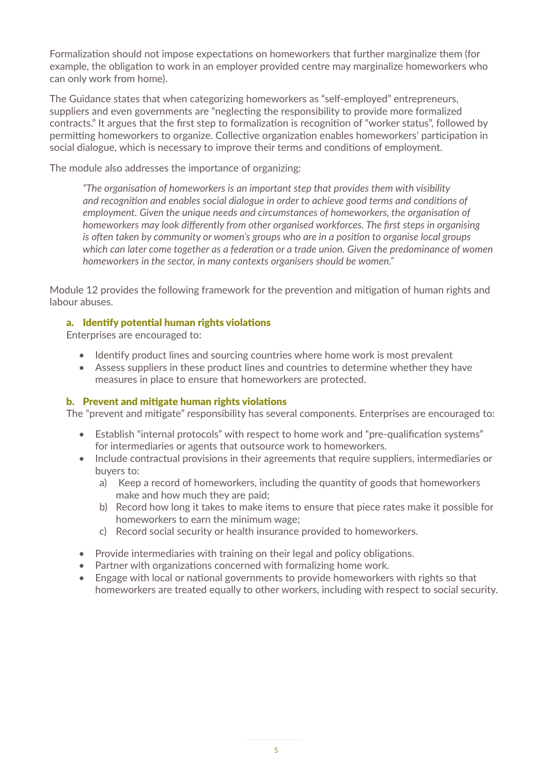Formalization should not impose expectations on homeworkers that further marginalize them (for example, the obligation to work in an employer provided centre may marginalize homeworkers who can only work from home).

The Guidance states that when categorizing homeworkers as "self-employed" entrepreneurs, suppliers and even governments are "neglecting the responsibility to provide more formalized contracts." It argues that the first step to formalization is recognition of "worker status", followed by permitting homeworkers to organize. Collective organization enables homeworkers' participation in social dialogue, which is necessary to improve their terms and conditions of employment.

The module also addresses the importance of organizing:

*"The organisation of homeworkers is an important step that provides them with visibility and recognition and enables social dialogue in order to achieve good terms and conditions of employment. Given the unique needs and circumstances of homeworkers, the organisation of homeworkers may look differently from other organised workforces. The first steps in organising is often taken by community or women's groups who are in a position to organise local groups which can later come together as a federation or a trade union. Given the predominance of women homeworkers in the sector, in many contexts organisers should be women."*

Module 12 provides the following framework for the prevention and mitigation of human rights and labour abuses.

#### a. Identify potential human rights violations

Enterprises are encouraged to:

- Identify product lines and sourcing countries where home work is most prevalent
- Assess suppliers in these product lines and countries to determine whether they have measures in place to ensure that homeworkers are protected.

#### b. Prevent and mitigate human rights violations

The "prevent and mitigate" responsibility has several components. Enterprises are encouraged to:

- Establish "internal protocols" with respect to home work and "pre-qualification systems" for intermediaries or agents that outsource work to homeworkers.
- Include contractual provisions in their agreements that require suppliers, intermediaries or buyers to:
	- a) Keep a record of homeworkers, including the quantity of goods that homeworkers make and how much they are paid;
	- b) Record how long it takes to make items to ensure that piece rates make it possible for homeworkers to earn the minimum wage;
	- c) Record social security or health insurance provided to homeworkers.
- Provide intermediaries with training on their legal and policy obligations.
- Partner with organizations concerned with formalizing home work.
- Engage with local or national governments to provide homeworkers with rights so that homeworkers are treated equally to other workers, including with respect to social security.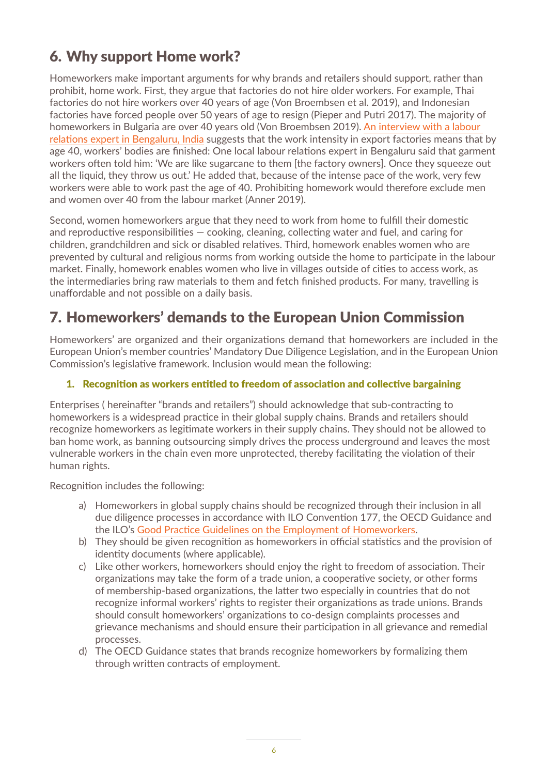## 6. Why support Home work?

Homeworkers make important arguments for why brands and retailers should support, rather than prohibit, home work. First, they argue that factories do not hire older workers. For example, Thai factories do not hire workers over 40 years of age (Von Broembsen et al. 2019), and Indonesian factories have forced people over 50 years of age to resign (Pieper and Putri 2017). The majority of homeworkers in Bulgaria are over 40 years old (Von Broembsen 2019). [An interview with a labour](https://www.researchgate.net/publication/340460592_Abandoned_The_Impact_of_Covid-19_on_Workers_and_Businesses_at_the_Bottom_of_Global_Garment_Supply_Chains)  [relations expert in Bengaluru, India](https://www.researchgate.net/publication/340460592_Abandoned_The_Impact_of_Covid-19_on_Workers_and_Businesses_at_the_Bottom_of_Global_Garment_Supply_Chains) suggests that the work intensity in export factories means that by age 40, workers' bodies are finished: One local labour relations expert in Bengaluru said that garment workers often told him: 'We are like sugarcane to them [the factory owners]. Once they squeeze out all the liquid, they throw us out.' He added that, because of the intense pace of the work, very few workers were able to work past the age of 40. Prohibiting homework would therefore exclude men and women over 40 from the labour market (Anner 2019).

Second, women homeworkers argue that they need to work from home to fulfill their domestic and reproductive responsibilities – cooking, cleaning, collecting water and fuel, and caring for children, grandchildren and sick or disabled relatives. Third, homework enables women who are prevented by cultural and religious norms from working outside the home to participate in the labour market. Finally, homework enables women who live in villages outside of cities to access work, as the intermediaries bring raw materials to them and fetch finished products. For many, travelling is unaffordable and not possible on a daily basis.

## 7. Homeworkers' demands to the European Union Commission

Homeworkers' are organized and their organizations demand that homeworkers are included in the European Union's member countries' Mandatory Due Diligence Legislation, and in the European Union Commission's legislative framework. Inclusion would mean the following:

#### 1. Recognition as workers entitled to freedom of association and collective bargaining

Enterprises ( hereinafter "brands and retailers") should acknowledge that sub-contracting to homeworkers is a widespread practice in their global supply chains. Brands and retailers should recognize homeworkers as legitimate workers in their supply chains. They should not be allowed to ban home work, as banning outsourcing simply drives the process underground and leaves the most vulnerable workers in the chain even more unprotected, thereby facilitating the violation of their human rights.

Recognition includes the following:

- a) Homeworkers in global supply chains should be recognized through their inclusion in all due diligence processes in accordance with ILO Convention 177, the OECD Guidance and the ILO's [Good Practice Guidelines on the Employment of Homeworkers](https://www.ilo.org/wcmsp5/groups/public/---asia/---ro-bangkok/---ilo-jakarta/documents/publication/wcms_236509.pdf).
- b) They should be given recognition as homeworkers in official statistics and the provision of identity documents (where applicable).
- c) Like other workers, homeworkers should enjoy the right to freedom of association. Their organizations may take the form of a trade union, a cooperative society, or other forms of membership-based organizations, the latter two especially in countries that do not recognize informal workers' rights to register their organizations as trade unions. Brands should consult homeworkers' organizations to co-design complaints processes and grievance mechanisms and should ensure their participation in all grievance and remedial processes.
- d) The OECD Guidance states that brands recognize homeworkers by formalizing them through written contracts of employment.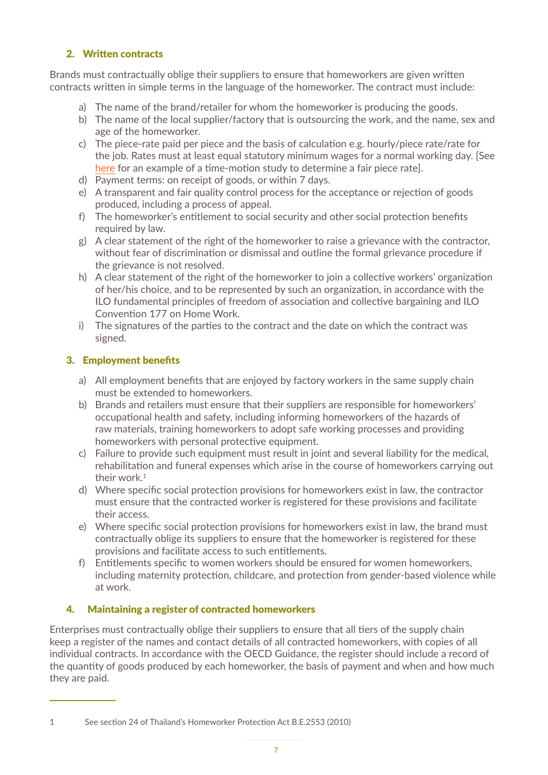#### 2. Written contracts

Brands must contractually oblige their suppliers to ensure that homeworkers are given written contracts written in simple terms in the language of the homeworker. The contract must include:

- a) The name of the brand/retailer for whom the homeworker is producing the goods.
- b) The name of the local supplier/factory that is outsourcing the work, and the name, sex and age of the homeworker.
- c) The piece-rate paid per piece and the basis of calculation e.g. hourly/piece rate/rate for the job. Rates must at least equal statutory minimum wages for a normal working day. [See [here](https://shelleymarshall.net/homework-in-thailand-resources) for an example of a time-motion study to determine a fair piece rate].
- d) Payment terms: on receipt of goods, or within 7 days.
- e) A transparent and fair quality control process for the acceptance or rejection of goods produced, including a process of appeal.
- f) The homeworker's entitlement to social security and other social protection benefits required by law.
- g) A clear statement of the right of the homeworker to raise a grievance with the contractor, without fear of discrimination or dismissal and outline the formal grievance procedure if the grievance is not resolved.
- h) A clear statement of the right of the homeworker to join a collective workers' organization of her/his choice, and to be represented by such an organization, in accordance with the ILO fundamental principles of freedom of association and collective bargaining and ILO Convention 177 on Home Work.
- i) The signatures of the parties to the contract and the date on which the contract was signed.

#### 3. Employment benefits

- a) All employment benefits that are enjoyed by factory workers in the same supply chain must be extended to homeworkers.
- b) Brands and retailers must ensure that their suppliers are responsible for homeworkers' occupational health and safety, including informing homeworkers of the hazards of raw materials, training homeworkers to adopt safe working processes and providing homeworkers with personal protective equipment.
- c) Failure to provide such equipment must result in joint and several liability for the medical, rehabilitation and funeral expenses which arise in the course of homeworkers carrying out their work.<sup>1</sup>
- d) Where specific social protection provisions for homeworkers exist in law, the contractor must ensure that the contracted worker is registered for these provisions and facilitate their access.
- e) Where specific social protection provisions for homeworkers exist in law, the brand must contractually oblige its suppliers to ensure that the homeworker is registered for these provisions and facilitate access to such entitlements.
- f) Entitlements specific to women workers should be ensured for women homeworkers, including maternity protection, childcare, and protection from gender-based violence while at work.

#### 4. Maintaining a register of contracted homeworkers

Enterprises must contractually oblige their suppliers to ensure that all tiers of the supply chain keep a register of the names and contact details of all contracted homeworkers, with copies of all individual contracts. In accordance with the OECD Guidance, the register should include a record of the quantity of goods produced by each homeworker, the basis of payment and when and how much they are paid.

<sup>1</sup> See section 24 of Thailand's Homeworker Protection Act B.E.2553 (2010)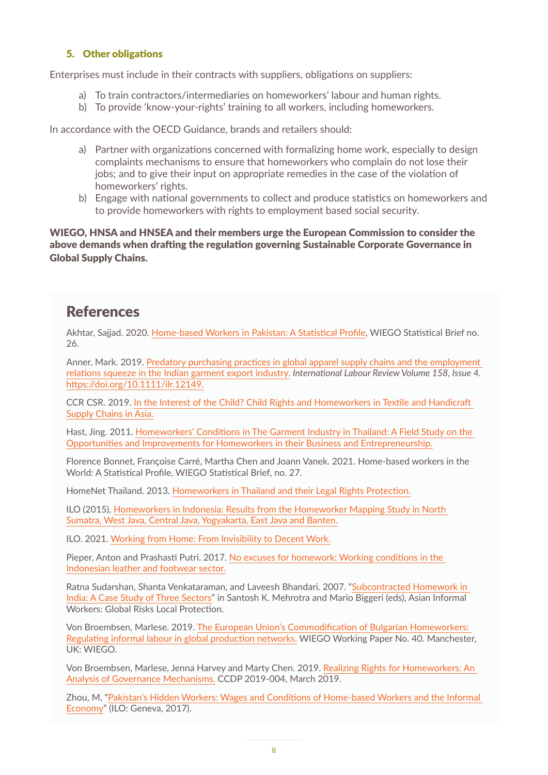#### 5. Other obligations

Enterprises must include in their contracts with suppliers, obligations on suppliers:

- a) To train contractors/intermediaries on homeworkers' labour and human rights.
- b) To provide 'know-your-rights' training to all workers, including homeworkers.

In accordance with the OECD Guidance, brands and retailers should:

- a) Partner with organizations concerned with formalizing home work, especially to design complaints mechanisms to ensure that homeworkers who complain do not lose their jobs; and to give their input on appropriate remedies in the case of the violation of homeworkers' rights.
- b) Engage with national governments to collect and produce statistics on homeworkers and to provide homeworkers with rights to employment based social security.

WIEGO, HNSA and HNSEA and their members urge the European Commission to consider the above demands when drafting the regulation governing Sustainable Corporate Governance in Global Supply Chains.

### **References**

Akhtar, Sajjad. 2020. [Home-based Workers in Pakistan: A Statistical Profile](https://www.wiego.org/publications/home-based-workers-pakistan-statistical-profile), WIEGO Statistical Brief no. 26.

Anner, Mark. 2019. [Predatory purchasing practices in global apparel supply chains and the employment](https://onlinelibrary.wiley.com/doi/abs/10.1111/ilr.12149)  [relations squeeze in the Indian garment export industry.](https://onlinelibrary.wiley.com/doi/abs/10.1111/ilr.12149) *International Labour Review Volume 158, Issue 4.*  <https://doi.org/10.1111/ilr.12149>.

CCR CSR. 2019. [In the Interest of the Child? Child Rights and Homeworkers in Textile and Handicraft](https://childrights-business.org/sites/default/files/CCR%20CSR_STC%20Study%20on%20Child%20Rights%20and%20Homeworkers_2019.pdf)  [Supply Chains in Asia.](https://childrights-business.org/sites/default/files/CCR%20CSR_STC%20Study%20on%20Child%20Rights%20and%20Homeworkers_2019.pdf)

Hast, Jing. 2011. [Homeworkers' Conditions in The Garment Industry in Thailand: A Field Study on the](https://www.diva-portal.org/smash/get/diva2:1309362/FULLTEXT01.pdf)  [Opportunities and Improvements for Homeworkers in their Business and Entrepreneurship.](https://www.diva-portal.org/smash/get/diva2:1309362/FULLTEXT01.pdf)

Florence Bonnet, Françoise Carré, Martha Chen and Joann Vanek. 2021. Home-based workers in the World: A Statistical Profile, WIEGO Statistical Brief, no. 27.

HomeNet Thailand. 2013. [Homeworkers in Thailand and their Legal Rights Protection.](http://www.wiego.org/sites/default/files/resources/files/Thailand-Homeworkers-in-Thailand-and-Legal-Rights-Protections.pdf)

ILO (2015), [Homeworkers in Indonesia: Results from the Homeworker Mapping Study in North](https://www.ilo.org/wcmsp5/groups/public/---asia/---ro-bangkok/---ilo-jakarta/documents/publication/wcms_438252.pdf)  [Sumatra, West Java, Central Java, Yogyakarta, East Java and Banten.](https://www.ilo.org/wcmsp5/groups/public/---asia/---ro-bangkok/---ilo-jakarta/documents/publication/wcms_438252.pdf)

ILO. 2021. [Working from Home: From Invisibility to Decent Work.](https://www.ilo.org/wcmsp5/groups/public/---ed_protect/---protrav/---travail/documents/publication/wcms_765806.pdf)

Pieper, Anton and Prashasti Putri. 2017. [No excuses for homework: Working conditions in the](https://labourbehindthelabel.net/wp-content/uploads/2017/03/2017-08-No-excuses-for-homework.-Working-conditions-in-the-Indonesian-leather-and-footwear-sector.pdf)  [Indonesian leather and footwear sector.](https://labourbehindthelabel.net/wp-content/uploads/2017/03/2017-08-No-excuses-for-homework.-Working-conditions-in-the-Indonesian-leather-and-footwear-sector.pdf)

Ratna Sudarshan, Shanta Venkataraman, and Laveesh Bhandari. 2007. ["Subcontracted Homework in](https://www.taylorfrancis.com/chapters/subcontracted-homework-india-case-study-three-sectors-ratna-sudarshan-shanta-venkataraman/e/10.4324/9780203966532-17)  [India: A Case Study of Three Sectors](https://www.taylorfrancis.com/chapters/subcontracted-homework-india-case-study-three-sectors-ratna-sudarshan-shanta-venkataraman/e/10.4324/9780203966532-17)" in Santosh K. Mehrotra and Mario Biggeri (eds), Asian Informal Workers: Global Risks Local Protection.

Von Broembsen, Marlese. 2019. [The European Union's Commodification of Bulgarian Homeworkers:](https://www.wiego.org/sites/default/files/publications/file/VonBroembsen_EU_Commodification_Bulgarian_Homeworkers_WIEGO_WP40.pdf)  [Regulating informal labour in global production networks.](https://www.wiego.org/sites/default/files/publications/file/VonBroembsen_EU_Commodification_Bulgarian_Homeworkers_WIEGO_WP40.pdf) WIEGO Working Paper No. 40. Manchester, UK: WIEGO.

Von Broembsen, Marlese, Jenna Harvey and Marty Chen. 2019. [Realizing Rights for Homeworkers: An](https://carrcenter.hks.harvard.edu/files/cchr/files/ccdp_2019_004_realizing_rights.pdf)  [Analysis of Governance Mechanisms.](https://carrcenter.hks.harvard.edu/files/cchr/files/ccdp_2019_004_realizing_rights.pdf) CCDP 2019-004, March 2019.

Zhou, M, ["Pakistan's Hidden Workers: Wages and Conditions of Home-based Workers and the Informal](https://www.ilo.org/wcmsp5/groups/public/---asia/---ro-bangkok/---ilo-islamabad/documents/publication/wcms_554877.pdf)  [Economy](https://www.ilo.org/wcmsp5/groups/public/---asia/---ro-bangkok/---ilo-islamabad/documents/publication/wcms_554877.pdf)" (ILO: Geneva, 2017).